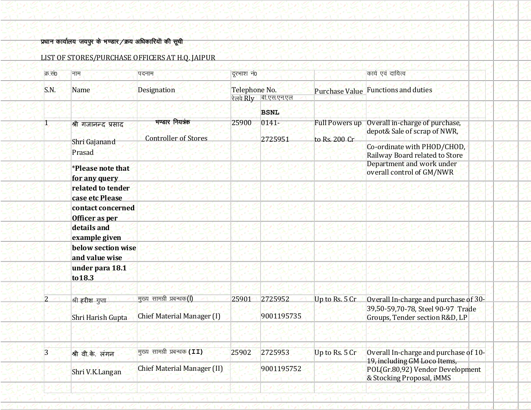# i<mark>y</mark>धान कार्यालय जयपुर के भण्डार /क्रय अधिकारियों की सूची

| LIST OF STORES/PURCHASE OFFICERS AT H.Q. JAIPUR |  |
|-------------------------------------------------|--|
|                                                 |  |

| क्र सं0 | नाम                                                                                                                                                                                                                                                                     | पदनाम                                                             | दूरभाश नं0<br>Telephone No.     |                       |                                        | कार्य एवं दायित्व                                                                                                                                                                         |  |
|---------|-------------------------------------------------------------------------------------------------------------------------------------------------------------------------------------------------------------------------------------------------------------------------|-------------------------------------------------------------------|---------------------------------|-----------------------|----------------------------------------|-------------------------------------------------------------------------------------------------------------------------------------------------------------------------------------------|--|
| S.N.    | <b>Name</b>                                                                                                                                                                                                                                                             | <b>Designation</b>                                                |                                 |                       | <b>Purchase Value</b>                  | <b>Functions and duties</b>                                                                                                                                                               |  |
|         |                                                                                                                                                                                                                                                                         |                                                                   | रेलवे Rlv<br><u>बी.एस.एन.एल</u> |                       |                                        |                                                                                                                                                                                           |  |
|         |                                                                                                                                                                                                                                                                         |                                                                   |                                 | <b>BSNL</b>           |                                        |                                                                                                                                                                                           |  |
|         | श्री गर्जानन्द प्रसाद<br>Shri Gajanand<br>Prasad<br><i>*Please note that</i><br>for any query<br>related to tender<br>case etc Please<br>contact concerned<br>Officer as per<br>details and<br>example given<br>below section wise<br>and value wise<br>under para 18.1 | भण्डार नियत्रक<br><b>Controller of Stores</b>                     | 25900                           | $0141 -$<br>2725951   | <b>Full Powers up</b><br>to Rs. 200 Cr | Overall in-charge of purchase,<br>depot& Sale of scrap of NWR,<br>Co-ordinate with PHOD/CHOD,<br>Railway Board related to Store<br>Department and work under<br>overall control of GM/NWR |  |
|         | to 18.3                                                                                                                                                                                                                                                                 |                                                                   |                                 |                       |                                        |                                                                                                                                                                                           |  |
|         | श्री हरीश गुप्ता<br>Shri Harish Gupta                                                                                                                                                                                                                                   | मुख्य सामग्री प्रबन्धक(I)<br><b>Chief Material Manager (I)</b>    | 25901                           | 2725952<br>9001195735 | Up to Rs. 5 Cr                         | Overall In-charge and purchase of 30-<br>39,50-59,70-78, Steel 90-97 Trade<br>Groups, Tender section R&D, LP                                                                              |  |
| 3       | श्री वी.के. लंगन<br>Shri V.K.Langan                                                                                                                                                                                                                                     | मुख्य सामग्री प्रबन्धक (II)<br><b>Chief Material Manager (II)</b> | 25902                           | 2725953<br>9001195752 | Up to Rs. 5 Cr                         | Overall In-charge and purchase of 10-<br>19, including GM Loco Items,<br>POL(Gr.80,92) Vendor Development<br>& Stocking Proposal, iMMS                                                    |  |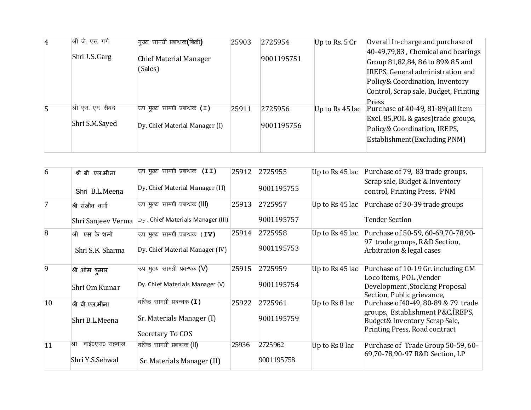| $\overline{4}$ | श्री जे. एस. गर्ग | मुख्य सामग्री प्रबन्धक(बिक्री)           | 25903 | 2725954    | Up to Rs. $5Cr$ | Overall In-charge and purchase of     |
|----------------|-------------------|------------------------------------------|-------|------------|-----------------|---------------------------------------|
|                |                   |                                          |       |            |                 | $40-49,79,83$ , Chemical and bearings |
|                | Shri J.S.Garg     | <b>Chief Material Manager</b><br>(Sales) |       | 9001195751 |                 | Group 81,82,84, 86 to 89& 85 and      |
|                |                   |                                          |       |            |                 | IREPS, General administration and     |
|                |                   |                                          |       |            |                 | Policy & Coordination, Inventory      |
|                |                   |                                          |       |            |                 | Control, Scrap sale, Budget, Printing |
|                |                   |                                          |       |            |                 | Press                                 |
| 5              | श्री एस. एम. सैयद | उप मुख्य सामग्री प्रबन्धक <b>(I)</b>     | 25911 | 2725956    | Up to Rs 45 lac | Purchase of 40-49, 81-89(all item     |
|                | Shri S.M.Sayed    | Dy. Chief Material Manager (I)           |       | 9001195756 |                 | Excl. 85, POL & gases) trade groups,  |
|                |                   |                                          |       |            |                 | Policy & Coordination, IREPS,         |
|                |                   |                                          |       |            |                 | Establishment(Excluding PNM)          |
|                |                   |                                          |       |            |                 |                                       |

| $\overline{6}$ | श्री बी .एल.मीना<br>Shri B.L.Meena       | उप मुख्य सामग्री प्रबन्धक (II)<br>Dy. Chief Material Manager (II)                   | 25912 | 2725955<br>9001195755 | Up to Rs 45 lac | Purchase of 79, 83 trade groups,<br>Scrap sale, Budget & Inventory<br>control, Printing Press, PNM                                         |
|----------------|------------------------------------------|-------------------------------------------------------------------------------------|-------|-----------------------|-----------------|--------------------------------------------------------------------------------------------------------------------------------------------|
| 7              | श्री संजीव वर्मा<br>Shri Sanjeev Verma   | उप मुख्य सामग्री प्रबन्धक ( <b>III)</b><br>Dy. Chief Materials Manager (III)        | 25913 | 2725957<br>9001195757 | Up to Rs 45 lac | Purchase of 30-39 trade groups<br><b>Tender Section</b>                                                                                    |
| $\overline{8}$ | श्री एस के शर्मा<br>Shri S.K Sharma      | उप मुख्य सामग्री प्रबन्धक (IV)<br>Dy. Chief Material Manager (IV)                   | 25914 | 2725958<br>9001195753 | Up to Rs 45 lac | Purchase of 50-59, 60-69, 70-78, 90-<br>97 trade groups, R&D Section,<br>Arbitration & legal cases                                         |
| 9              | श्री ओम कुमार<br>Shri Om Kumar           | उप मुख्य सामग्री प्रबन्धक (V)<br>Dy. Chief Materials Manager (V)                    | 25915 | 2725959<br>9001195754 | Up to Rs 45 lac | Purchase of 10-19 Gr. including GM<br>Loco items, POL, Vender<br>Development, Stocking Proposal<br>Section, Public grievance,              |
| $ 10\rangle$   | श्री बी.एल.मीना<br>Shri B.L.Meena        | वरिष्ठ सामग्री प्रबन्धक <b>(I)</b><br>Sr. Materials Manager (I)<br>Secretary To COS | 25922 | 2725961<br>9001195759 | Up to Rs 8 lac  | Purchase of 40-49, 80-89 & 79 trade<br>groups, Establishment P&C, IREPS,<br>Budget& Inventory Scrap Sale,<br>Printing Press, Road contract |
| 11             | श्री<br>वाई0एस0 सहवाल<br>Shri Y.S.Sehwal | वरिष्ठ सामग्री प्रबन्धक <b>(ll)</b><br>Sr. Materials Manager (II)                   | 25936 | 2725962<br>9001195758 | Up to Rs 8 lac  | Purchase of Trade Group 50-59, 60-<br>69,70-78,90-97 R&D Section, LP                                                                       |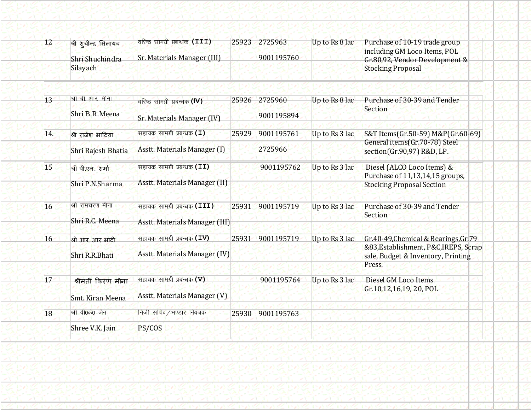| 12  | श्री शूचीन्द्र सिलायच<br>Shri Shuchindra<br>Silayach | वरिष्ठ सामग्री प्रबन्धक (III)<br>Sr. Materials Manager (III)          | 25923 | 2725963<br>9001195760 | Up to Rs 8 lac | Purchase of 10-19 trade group<br>including GM Loco Items, POL<br>Gr.80,92, Vendor Development &<br><b>Stocking Proposal</b>   |
|-----|------------------------------------------------------|-----------------------------------------------------------------------|-------|-----------------------|----------------|-------------------------------------------------------------------------------------------------------------------------------|
| 13  | श्री बी. आर. मीना<br>Shri B.R.Meena                  | वरिष्ठ सामग्री प्रबन्धक (IV)<br>Sr. Materials Manager (IV)            | 25926 | 2725960<br>9001195894 | Up to Rs 8 lac | Purchase of 30-39 and Tender<br><b>Section</b>                                                                                |
| 14. | श्री राजेश भाटिया<br>Shri Rajesh Bhatia              | सहायक सामग्री प्रबन्धक (I)<br><b>Asstt. Materials Manager (I)</b>     | 25929 | 9001195761<br>2725966 | Up to Rs 3 lac | S&T Items(Gr.50-59) M&P(Gr.60-69)<br>General items(Gr.70-78) Steel<br>section(Gr.90,97) R&D, LP.                              |
| 15  | श्री पी.एन. शर्मा<br>Shri P.N.Sharma                 | सहायक सामग्री प्रबन्धक (II)<br>Asstt. Materials Manager (II)          |       | 9001195762            | Up to Rs 3 lac | Diesel (ALCO Loco Items) &<br>Purchase of 11,13,14,15 groups,<br><b>Stocking Proposal Section</b>                             |
| 16  | श्री रामचरण मीना<br>Shri R.C. Meena                  | सहायक सामग्री प्रबन्धक (III)<br><b>Asstt. Materials Manager (III)</b> | 25931 | 9001195719            | Up to Rs 3 lac | Purchase of 30-39 and Tender<br>Section                                                                                       |
| 16  | श्री आर आर भाटी<br>Shri R.R.Bhati                    | सहायक सामग्री प्रबन्धक (IV)<br>Asstt. Materials Manager (IV)          | 25931 | 9001195719            | Up to Rs 3 lac | Gr.40-49, Chemical & Bearings, Gr.79<br>&83, Establishment, P&C, IREPS, Scrap<br>sale, Budget & Inventory, Printing<br>Press. |
| 17  | श्रीमती किरण मीना<br>Smt. Kiran Meena                | सहायक सामग्री प्रबन्धक (V)<br><b>Asstt. Materials Manager (V)</b>     |       | 9001195764            | Up to Rs 3 lac | Diesel GM Loco Items<br>Gr.10,12,16,19, 20, POL                                                                               |
| 18  | श्री वी0के0 जैन<br>Shree V.K. Jain                   | निजी सचिव/भण्डार नियंत्रक<br>PS/COS                                   | 25930 | 9001195763            |                |                                                                                                                               |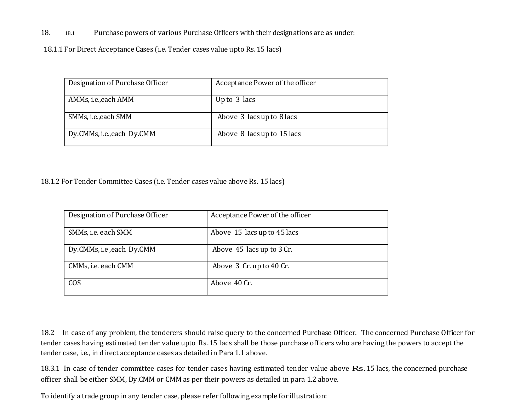18. 18.1 Purchase powers of various Purchase Officers with their designations are as under:

18.1.1 For Direct Acceptance Cases (i.e. Tender cases value upto Rs. 15 lacs)

| Designation of Purchase Officer | Acceptance Power of the officer |
|---------------------------------|---------------------------------|
| AMMs, i.e., each AMM            | Up to 3 lacs                    |
| SMMs, i.e., each SMM            | Above 3 lacs up to 8 lacs       |
| Dy.CMMs, i.e., each Dy.CMM      | Above 8 lacs up to 15 lacs      |

18.1.2 For Tender Committee Cases (i.e. Tender cases value above Rs. 15 lacs)

| Designation of Purchase Officer | Acceptance Power of the officer |
|---------------------------------|---------------------------------|
| SMMs, i.e. each SMM             | Above 15 lacs up to 45 lacs     |
| Dy.CMMs, i.e , each Dy.CMM      | Above 45 lacs up to 3 Cr.       |
| CMMs, i.e. each CMM             | Above 3 Cr. up to 40 Cr.        |
| COS                             | Above 40 Cr.                    |

18.2 In case of any problem, the tenderers should raise query to the concerned Purchase Officer. The concerned Purchase Officer for tender cases having estimated tender value upto Rs.15 lacs shall be those purchase officers who are having the powers to accept the tender case, i.e., in direct acceptance cases as detailed in Para 1.1 above.

18.3.1 In case of tender committee cases for tender cases having estimated tender value above Rs.15 lacs, the concerned purchase officer shall be either SMM, Dy.CMM or CMM as per their powers as detailed in para 1.2 above.

To identify a trade group in any tender case, please refer following example for illustration: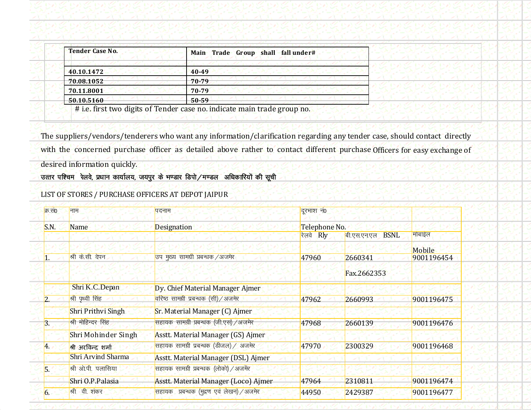| <b>Tender Case No.</b> | Main Trade Group shall fall under# |
|------------------------|------------------------------------|
| 40.10.1472             | $40 - 49$                          |
| 70.08.1052             | $70 - 79$                          |
| 70.11.8001             | 70-79                              |
| 50.10.5160             | $50 - 59$                          |

# i.e. first two digits of Tender case no. indicate main trade group no.

The suppliers/vendors/tenderers who want any information/clarification regarding any tender case, should contact directly with the concerned purchase officer as detailed above rather to contact different purchase Officers for easy exchange of desired information quickly.

## उत्तर पश्चिम रेलवे, प्रधान कार्यालय, जयपुर के भण्डार डिपो $/$ मण्डल अधिकारियों की सूची

LIST OF STORES / PURCHASE OFFICERS AT DEPOT JAIPUR

| क्र सं0 | नाम                       | पदनाम                                             | दूरभाश नं0<br>Telephone No. |                            |                  |
|---------|---------------------------|---------------------------------------------------|-----------------------------|----------------------------|------------------|
| S.N.    | Name                      | <b>Designation</b>                                |                             |                            |                  |
|         |                           |                                                   | Rly<br>रेलवे                | <b>BSNL</b><br>बी.एस.एन.एल | मोबाईल<br>Mobile |
|         | श्री के.सी. देपन          | उप मृख्य सामग्री प्रबन्धक /अजमेर                  | 47960                       | 2660341<br>Fax.2662353     | 9001196454       |
|         | Shri K.C.Depan            | Dy. Chief Material Manager Ajmer                  |                             |                            |                  |
|         | श्री पृथ्वी सिंह          | <mark>वरिष्ठ सामग्री प्रबन्धक (सी) ⁄ अजमेर</mark> | 47962                       | 2660993                    | 9001196475       |
|         | Shri Prithvi Singh        | Sr. Material Manager (C) Ajmer                    |                             |                            |                  |
| 3.      | श्री मोहिन्दर सिंह        | सहायक सामग्री प्रबन्धक (जी.एस) /अजमेर             | 47968                       | 2660139                    | 9001196476       |
|         | Shri Mohinder Singh       | Asstt. Material Manager (GS) Ajmer                |                             |                            |                  |
| 4.      | श्री अरविन्द शर्मा        | सहायक सामग्री प्रबन्धक (डीजल) / अजमेर             | 47970                       | 2300329                    | 9001196468       |
|         | <b>Shri Arvind Sharma</b> | Asstt. Material Manager (DSL) Ajmer               |                             |                            |                  |
| 5.      | श्री ओपी पलासिया          | सहायक सामग्री प्रबन्धक (लोको) / अजमेर             |                             |                            |                  |
|         | Shri O.P.Palasia          | Asstt. Material Manager (Loco) Ajmer              | 47964                       | 2310811                    | 9001196474       |
| 6.      | श्री वी. शंकर             | सहायक प्रबन्धक (मुद्रण एवं लेखन) / अजमेर          | 44950                       | 2429387                    | 9001196477       |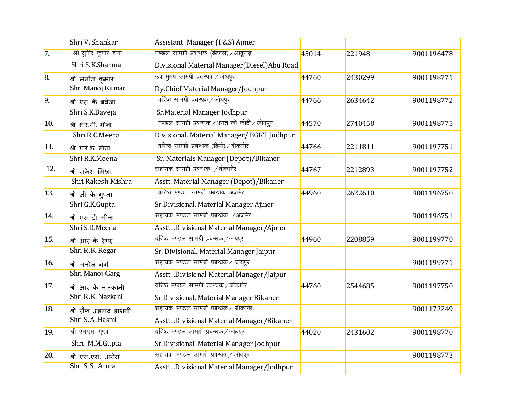|                | Shri V. Shankar                 | Assistant Manager (P&S) Ajmer                            |       |         |            |
|----------------|---------------------------------|----------------------------------------------------------|-------|---------|------------|
| 7.             | श्री सुधीर कुमार शर्मा          | <mark>मण्डल सामग्री प्रबन्धक (डीजल) ⁄ आबूरोड़</mark>     | 45014 | 221948  | 9001196478 |
|                | Shri S.K.Sharma                 | Divisional Material Manager(Diesel) Abu Road             |       |         |            |
| 8.             | श्री मनोज कमार                  | <mark>उप मुख्य सामग्री प्रबन्धक ⁄ जोधपुर</mark>          | 44760 | 2430299 | 9001198771 |
|                | Shri Manoj Kumar                | Dy.Chief Material Manager/Jodhpur                        |       |         |            |
| 9.             | श्री एस के बवेजा                | वरिष्ठ सामग्री प्रबन्धक / जोधपुर                         | 44766 | 2634642 | 9001198772 |
|                | Shri S.K.Baveja                 | Sr. Material Manager Jodhpur                             |       |         |            |
| 10.            | श्री आर.सी. मीना                | मण्डल सामग्री प्रबन्धक /भगत की कोठी / जोधपूर             | 44570 | 2740458 | 9001198775 |
|                | Shri R.C.Meena                  | Divisional. Material Manager/ BGKT Jodhpur               |       |         |            |
| 11.            | श्री आर.के. मीना                | वरिष्ठ सामग्री प्रबन्धक (डिपो) / बीकानेर                 | 44766 | 2211811 | 9001197751 |
|                | Shri R.K.Meena                  | Sr. Materials Manager (Depot)/Bikaner                    |       |         |            |
| 12.            | श्री राकेश मिश्रा               | .<br>सहायक सामग्री प्रबन्धक /बीकानेर                     | 44767 | 2212893 | 9001197752 |
|                | Shri Rakesh Mishra              | Asstt. Material Manager (Depot)/Bikaner                  |       |         |            |
| 13.            | <mark>श्री जी के ग</mark> ्प्ता | वरिष्ठ मण्डल सामग्री प्रबन्धक अजमेर                      | 44960 | 2622610 | 9001196750 |
|                | Shri G.K.Gupta                  | Sr.Divisional. Material Manager Ajmer                    |       |         |            |
| 14.            | श्री एस डी मीना                 | .<br>सहायक मण्डल सामग्री प्रबन्धक ⁄अजमेर                 |       |         | 9001196751 |
|                | Shri S.D.Meena                  | Asstt. Divisional Material Manager/Ajmer                 |       |         |            |
| 15.            | श्री आर के रेगर                 | <mark>वरिष्ठ मण्डल सामग्री प्रबन्धक ⁄ जयपुर</mark>       | 44960 | 2208859 | 9001199770 |
|                | Shri R.K.Regar                  | Sr. Divisional. Material Manager Jaipur                  |       |         |            |
| 16.            | श्री मनोज गर्ग                  | सहायक मण्डल सामग्री प्रबन्धक / जयपुर                     |       |         | 9001199771 |
|                | Shri Manoj Garg                 | Asstt. Divisional Material Manager /Jaipur               |       |         |            |
| 17.            | श्री आर के नजकानी               | <mark>वरिष्ठ मण्डल सामग्री प्रबन्धक ⁄ बीकानेर</mark>     | 44760 | 2544685 | 9001197750 |
|                | Shri R.K.Nazkani                | Sr.Divisional. Material Manager Bikaner                  |       |         |            |
| 18.            | श्री सैफ अहमद हाशमी             | <mark>सहायक मण्डल सामग्री प्रबन्धक ∕े बीकान्</mark> ेर   |       |         | 9001173249 |
|                | Shri S.A.Hasmi                  | Asstt. Divisional Material Manager/Bikaner               |       |         |            |
| <sup>19.</sup> | श्री एमएम. गुप्ता               | .<br><mark>वरिष्ठ मण्डल सामग्री प्रबन्धक ⁄ जोधपुर</mark> | 44020 | 2431602 | 9001198770 |
|                | Shri M.M.Gupta                  | Sr.Divisional Material Manager Jodhpur                   |       |         |            |
| 20.            | श्री एस.एस. अरोरा               | .<br>सहायक मण्डल सामग्री प्रबन्धक / जोधपुर               |       |         | 9001198773 |
|                | Shri S.S. Arora                 | Asstt. .Divisional Material Manager /Jodhpur             |       |         |            |